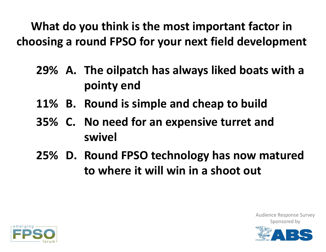**What do you think is the most important factor in choosing <sup>a</sup> round FPSO for your next field development**

- **A. The oilpatch has always liked boats with <sup>a</sup> 29% pointy end**
- **B. Round is simple and cheap to build 11%**
- **C. No need for an expensive turret and 35% swivel**
- **D. Round FPSO technology has now matured 25%to where it will win in a shoot out**



Audience Response Survey

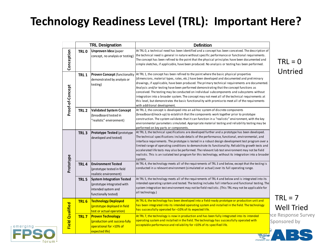## **Technology Readiness Level (TRL): Important Here?**

|                        |                  | <b>TRL Designation</b>                                                                                        | <b>Definition</b>                                                                                                                                                                                                                                                                                                                                                                                                                                                                                                                                                                                                                                                                                                            |                                     |
|------------------------|------------------|---------------------------------------------------------------------------------------------------------------|------------------------------------------------------------------------------------------------------------------------------------------------------------------------------------------------------------------------------------------------------------------------------------------------------------------------------------------------------------------------------------------------------------------------------------------------------------------------------------------------------------------------------------------------------------------------------------------------------------------------------------------------------------------------------------------------------------------------------|-------------------------------------|
| Conception             | TRL <sub>0</sub> | <b>Unproven Idea</b> (paper<br>concept, no analysis or testing)                                               | At TRLO, a technical need has been identified and a concept has been conceived. The description of<br>the technical need is general in nature without specific performance or functional requirements.<br>The concept has been refined to the point that the physical principles have been documented and<br>simple sketches, if applicable, have been produced. No analysis or testing has been performed.                                                                                                                                                                                                                                                                                                                  | $TRL = 0$<br>Untried                |
| Proof-of-Concept       | TRL1             | <b>Proven Concept (functionality</b><br>demonstrated by analysis or<br>testing)                               | At TRL 1, the concept has been refined to the point where the basic physical properties<br>(dimensions, material types, rates, etc.) have been developed and documented and preliminary<br>drawings, if applicable, have been produced. The primary technical requirements are documented.<br>Analysis and/or testing have been performed demonstrating that the concept functions as<br>conceived. The testing may be conducted on individual subcomponents and subsystems without<br>integration into a broader system. The concept may not meet all of the technical requirements at<br>this level, but demonstrates the basic functionality with promise to meet all of the requirements<br>with additional development. |                                     |
|                        | TRL <sub>2</sub> | <b>Validated System Concept</b><br>(breadboard tested in<br>'realistic" environment)                          | At TRL 2, the concept is developed into an ad-hoc system of discrete components<br>(breadboard/mock-up) to establish that the components work together prior to prototype<br>construction. The system validates that it can function in a "realistic" environment, with the key<br>environmental parameters simulated. Appropriate material testing and reliability testing may be<br>performed on key parts or components.                                                                                                                                                                                                                                                                                                  |                                     |
| Prototype              | TRL <sub>3</sub> | Prototype Tested (prototype<br>developed and tested)                                                          | At TRL 3, the technical specifications are developed further and a prototype has been developed.<br>The technical specifications include details of the performance, functional, environmental, and<br>interface requirements. The prototype is tested in a robust design development test program over a<br>limited range of operating conditions to demonstrate its functionality. Reliability growth tests and<br>accelerated life tests may also be performed. The relevant lab test environment may not be field<br>realistic. This is an isolated test program for this technology, without its integration into a broader<br>system.                                                                                  |                                     |
|                        | TRL <sub>4</sub> | <b>Environment Tested</b><br>(prototype tested in field<br>realistic environment)                             | At TRL 4, the technology meets all of the requirements of TRL 3 and below, except that the testing is<br>conducted in a relevant environment (simulated or actual) over its full operating range.                                                                                                                                                                                                                                                                                                                                                                                                                                                                                                                            |                                     |
|                        | TRL <sub>5</sub> | <b>System Integration Tested</b><br>(prototype integrated with<br>intended system and<br>functionally tested) | At TRL 5, the technology meets all of the requirements of TRL 4 and below and is integrated into its<br>intended operating system and tested. The testing includes full interface and functional testing. The<br>system integration test environment may not be field realistic. (This TRL may not be applicable for<br>all technology.)                                                                                                                                                                                                                                                                                                                                                                                     | $TRL = 7$                           |
|                        | TRL <sub>6</sub> | <b>Technology Deployed</b><br>(prototype deployed in field<br>test or actual operation)                       | At TRL 6, the technology has been developed into a field-ready prototype or production unit and<br>has been integrated into its intended operating system and installed in the field. The technology<br>has successfully operated for <10% of its expected life.                                                                                                                                                                                                                                                                                                                                                                                                                                                             | <b>Well Tried</b>                   |
| <b>Field Qualified</b> | <b>TRL7</b>      | <b>Proven Technology</b><br>(production unit success-fully<br>operational for >10% of<br>expected life)       | At TRL 7, the technology is now in production and has been fully integrated into its intended<br>operating system and installed in the field. The technology has successfully operated with<br>acceptable performance and reliability for >10% of its specified life.                                                                                                                                                                                                                                                                                                                                                                                                                                                        | nce Response Survey<br>Sponsored by |